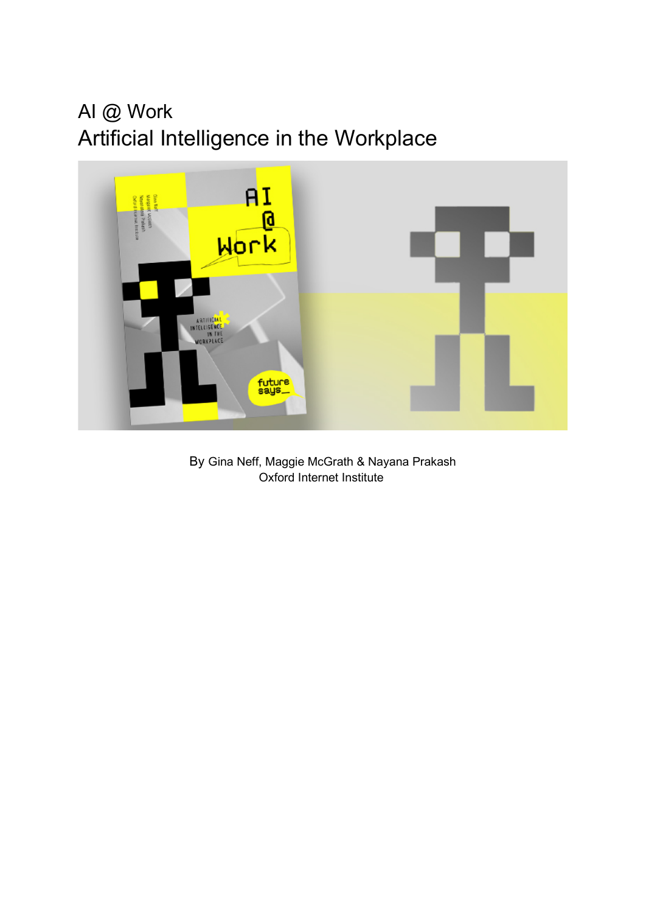# AI @ Work Artificial Intelligence in the Workplace



<span id="page-0-0"></span>By Gina Neff, Maggie McGrath & Nayana Prakash Oxford Internet Institute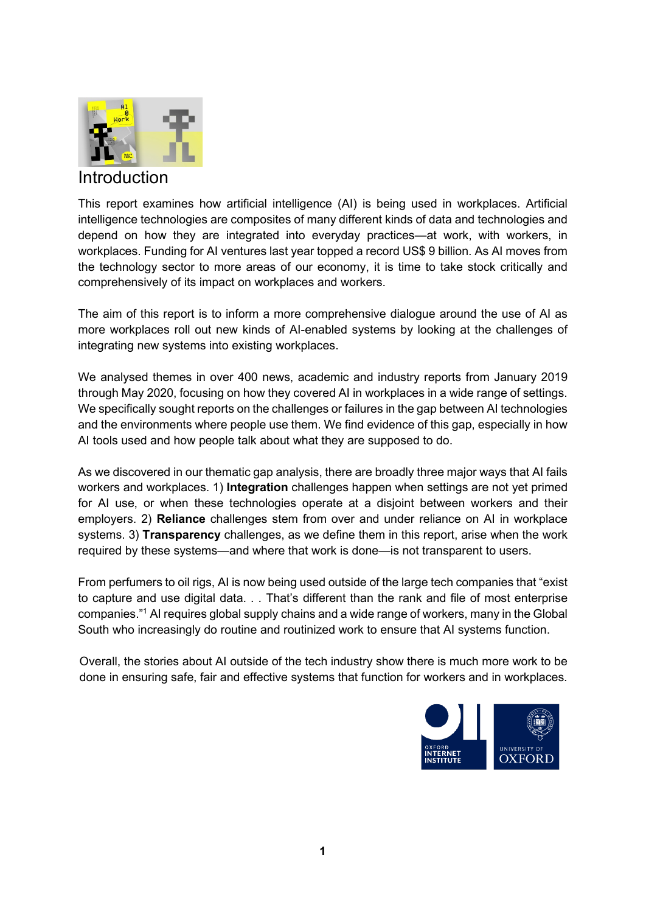

### Introduction

This report examines how artificial intelligence (AI) is being used in workplaces. Artificial intelligence technologies are composites of many different kinds of data and technologies and depend on how they are integrated into everyday practices—at work, with workers, in workplaces. Funding for AI ventures last year topped a record US\$ 9 billion. As AI moves from the technology sector to more areas of our economy, it is time to take stock critically and comprehensively of its impact on workplaces and workers.

The aim of this report is to inform a more comprehensive dialogue around the use of AI as more workplaces roll out new kinds of AI-enabled systems by looking at the challenges of integrating new systems into existing workplaces.

We analysed themes in over 400 news, academic and industry reports from January 2019 through May 2020, focusing on how they covered AI in workplaces in a wide range of settings. We specifically sought reports on the challenges or failures in the gap between AI technologies and the environments where people use them. We find evidence of this gap, especially in how AI tools used and how people talk about what they are supposed to do.

As we discovered in our thematic gap analysis, there are broadly three major ways that AI fails workers and workplaces. 1) **Integration** challenges happen when settings are not yet primed for AI use, or when these technologies operate at a disjoint between workers and their employers. 2) **Reliance** challenges stem from over and under reliance on AI in workplace systems. 3) **Transparency** challenges, as we define them in this report, arise when the work required by these systems—and where that work is done—is not transparent to users.

From perfumers to oil rigs, AI is now being used outside of the large tech companies that "exist to capture and use digital data. . . That's different than the rank and file of most enterprise companies."1 AI requires global supply chains and a wide range of workers, many in the Global South who increasingly do routine and routinized work to ensure that AI systems function.

Overall, the stories about AI outside of the tech industry show there is much more work to be done in ensuring safe, fair and effective systems that function for workers and in workplaces.

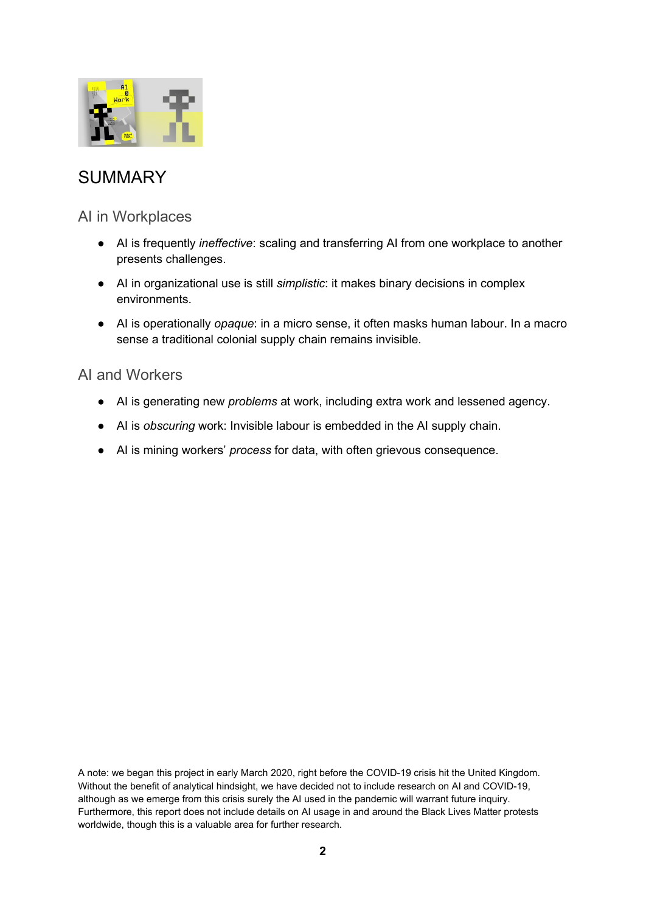

## **SUMMARY**

### AI in Workplaces

- AI is frequently *ineffective*: scaling and transferring AI from one workplace to another presents challenges.
- AI in organizational use is still *simplistic*: it makes binary decisions in complex environments.
- AI is operationally *opaque*: in a micro sense, it often masks human labour. In a macro sense a traditional colonial supply chain remains invisible.

#### AI and Workers

- AI is generating new *problems* at work, including extra work and lessened agency.
- AI is *obscuring* work: Invisible labour is embedded in the AI supply chain.
- AI is mining workers' *process* for data, with often grievous consequence.

A note: we began this project in early March 2020, right before the COVID-19 crisis hit the United Kingdom. Without the benefit of analytical hindsight, we have decided not to include research on AI and COVID-19, although as we emerge from this crisis surely the AI used in the pandemic will warrant future inquiry. Furthermore, this report does not include details on AI usage in and around the Black Lives Matter protests worldwide, though this is a valuable area for further research.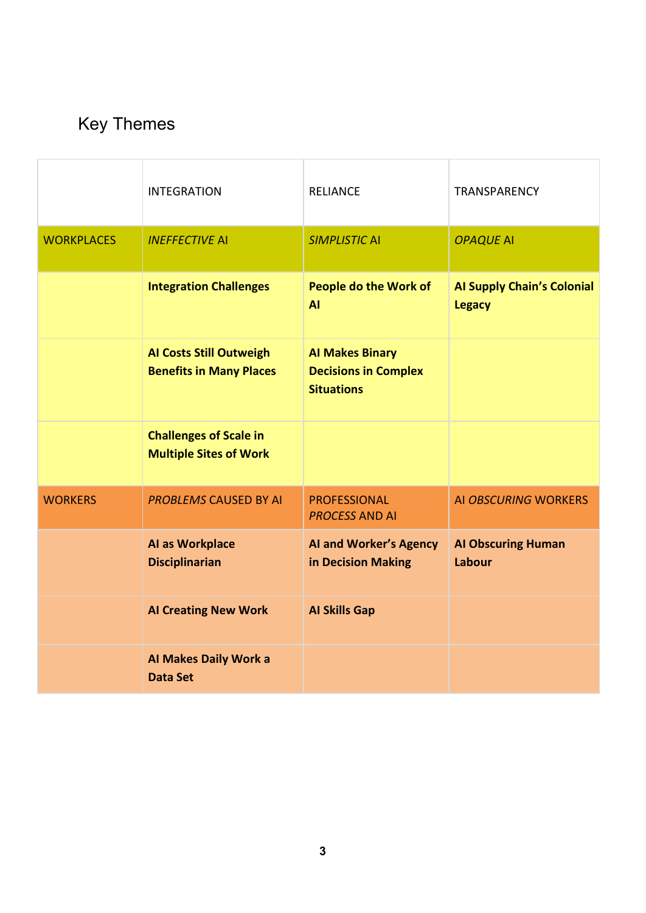# Key Themes

|                   | <b>INTEGRATION</b>                                               | <b>RELIANCE</b>                                                            | TRANSPARENCY                                       |
|-------------------|------------------------------------------------------------------|----------------------------------------------------------------------------|----------------------------------------------------|
| <b>WORKPLACES</b> | <b>INEFFECTIVE AI</b>                                            | <b>SIMPLISTIC AI</b>                                                       | <b>OPAQUE AI</b>                                   |
|                   | <b>Integration Challenges</b>                                    | <b>People do the Work of</b><br><b>AI</b>                                  | <b>Al Supply Chain's Colonial</b><br><b>Legacy</b> |
|                   | <b>AI Costs Still Outweigh</b><br><b>Benefits in Many Places</b> | <b>Al Makes Binary</b><br><b>Decisions in Complex</b><br><b>Situations</b> |                                                    |
|                   | <b>Challenges of Scale in</b><br><b>Multiple Sites of Work</b>   |                                                                            |                                                    |
| <b>WORKERS</b>    | <b>PROBLEMS CAUSED BY AI</b>                                     | <b>PROFESSIONAL</b><br><b>PROCESS AND AI</b>                               | <b>AI OBSCURING WORKERS</b>                        |
|                   | AI as Workplace<br><b>Disciplinarian</b>                         | <b>AI and Worker's Agency</b><br>in Decision Making                        | <b>Al Obscuring Human</b><br>Labour                |
|                   | <b>Al Creating New Work</b>                                      | <b>Al Skills Gap</b>                                                       |                                                    |
|                   | Al Makes Daily Work a<br><b>Data Set</b>                         |                                                                            |                                                    |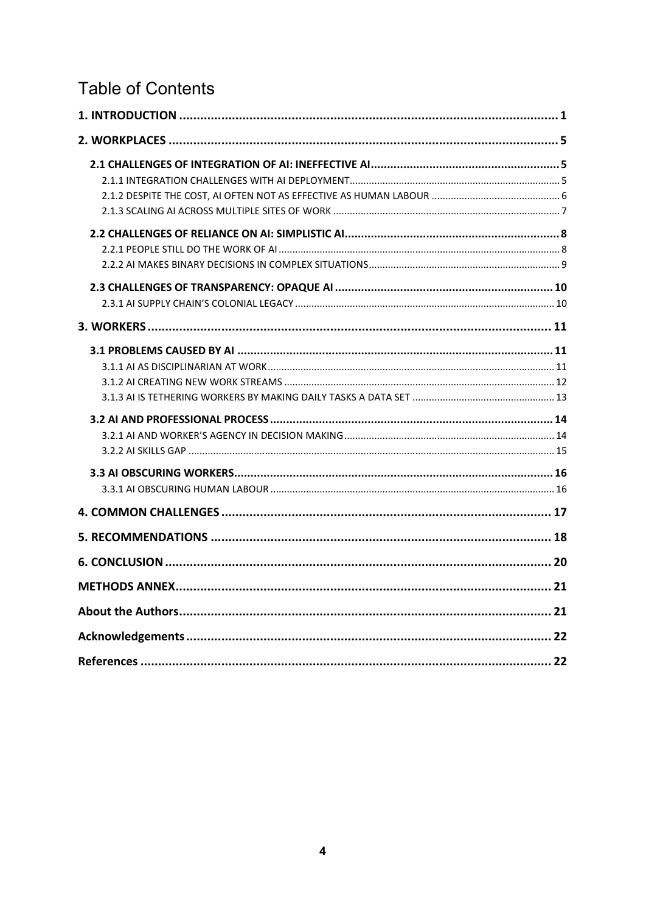## **Table of Contents**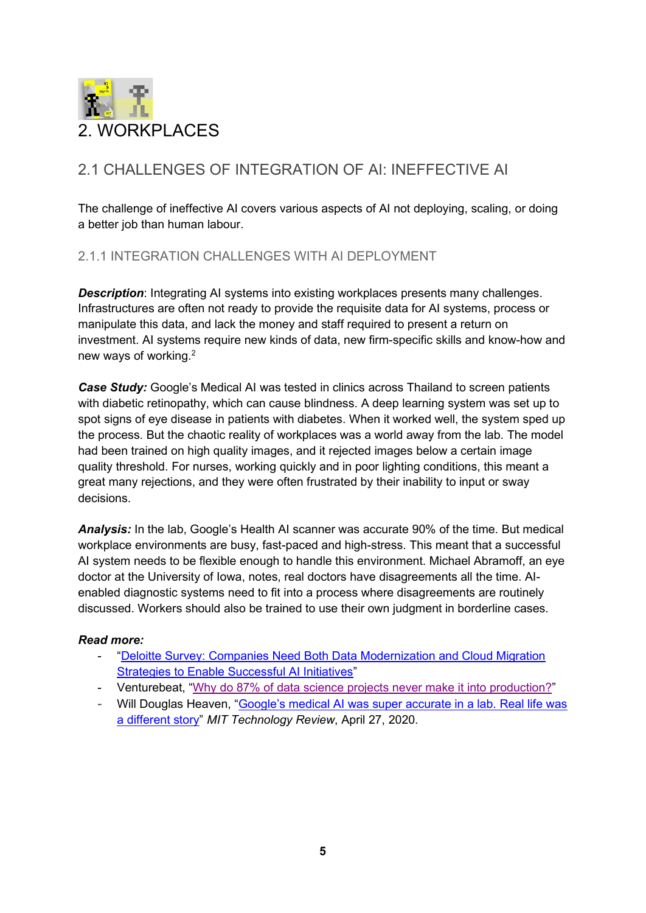<span id="page-5-0"></span>

## <span id="page-5-1"></span>2.1 CHALLENGES OF INTEGRATION OF AI: INEFFECTIVE AI

The challenge of ineffective AI covers various aspects of AI not deploying, scaling, or doing a better job than human labour.

#### <span id="page-5-2"></span>2.1.1 INTEGRATION CHALLENGES WITH AI DEPLOYMENT

**Description:** Integrating AI systems into existing workplaces presents many challenges. Infrastructures are often not ready to provide the requisite data for AI systems, process or manipulate this data, and lack the money and staff required to present a return on investment. AI systems require new kinds of data, new firm-specific skills and know-how and new ways of working.2

**Case Study:** Google's Medical AI was tested in clinics across Thailand to screen patients with diabetic retinopathy, which can cause blindness. A deep learning system was set up to spot signs of eye disease in patients with diabetes. When it worked well, the system sped up the process. But the chaotic reality of workplaces was a world away from the lab. The model had been trained on high quality images, and it rejected images below a certain image quality threshold. For nurses, working quickly and in poor lighting conditions, this meant a great many rejections, and they were often frustrated by their inability to input or sway decisions.

*Analysis:* In the lab, Google's Health AI scanner was accurate 90% of the time. But medical workplace environments are busy, fast-paced and high-stress. This meant that a successful AI system needs to be flexible enough to handle this environment. Michael Abramoff, an eye doctor at the University of Iowa, notes, real doctors have disagreements all the time. AIenabled diagnostic systems need to fit into a process where disagreements are routinely discussed. Workers should also be trained to use their own judgment in borderline cases.

- "Deloitte Survey: Companies Need Both Data Modernization and Cloud Migration [Strategies to Enable Successful AI Initiatives"](https://www2.deloitte.com/us/en/pages/about-deloitte/articles/press-releases/deloitte-survey-data-modernization-cloud-migration-strategy-critical-ai.html)
- Venturebeat, ["Why do 87% of data science projects never make it into production?"](https://venturebeat.com/2019/07/19/why-do-87-of-data-science-projects-never-make-it-into-production/)
- Will Douglas Heaven, "Google's medical AI was super accurate in a lab. Real life was [a different story"](https://www.technologyreview.com/2020/04/27/1000658/google-medical-ai-accurate-lab-real-life-clinic-covid-diabetes-retina-disease/) *MIT Technology Review*, April 27, 2020.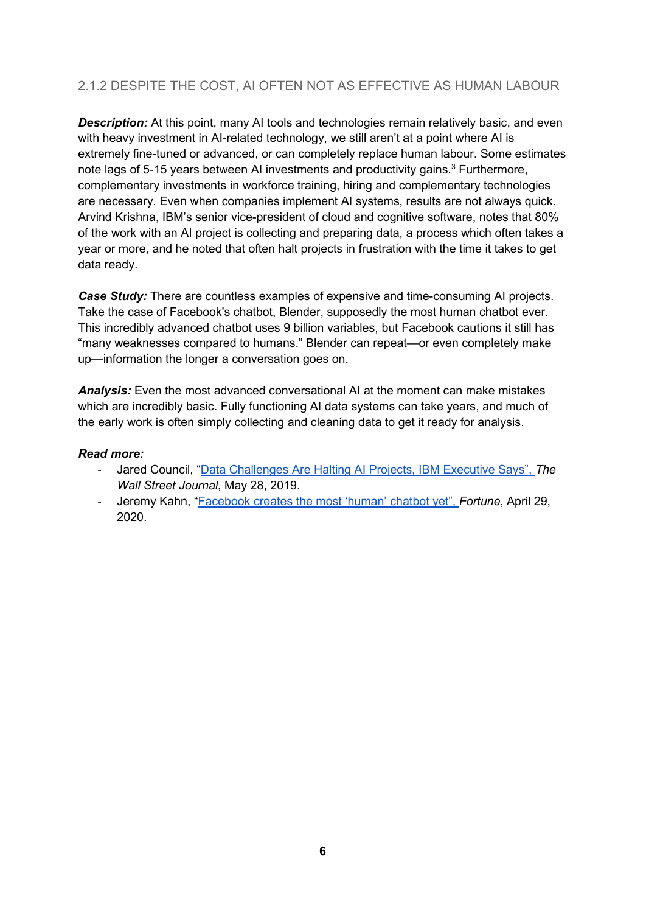### <span id="page-6-0"></span>2.1.2 DESPITE THE COST, AI OFTEN NOT AS EFFECTIVE AS HUMAN LABOUR

**Description:** At this point, many AI tools and technologies remain relatively basic, and even with heavy investment in AI-related technology, we still aren't at a point where AI is extremely fine-tuned or advanced, or can completely replace human labour. Some estimates note lags of 5-15 years between AI investments and productivity gains.<sup>3</sup> Furthermore, complementary investments in workforce training, hiring and complementary technologies are necessary. Even when companies implement AI systems, results are not always quick. Arvind Krishna, IBM's senior vice-president of cloud and cognitive software, notes that 80% of the work with an AI project is collecting and preparing data, a process which often takes a year or more, and he noted that often halt projects in frustration with the time it takes to get data ready.

*Case Study:* There are countless examples of expensive and time-consuming AI projects. Take the case of Facebook's chatbot, Blender, supposedly the most human chatbot ever. This incredibly advanced chatbot uses 9 billion variables, but Facebook cautions it still has "many weaknesses compared to humans." Blender can repeat—or even completely make up—information the longer a conversation goes on.

*Analysis:* Even the most advanced conversational AI at the moment can make mistakes which are incredibly basic. Fully functioning AI data systems can take years, and much of the early work is often simply collecting and cleaning data to get it ready for analysis.

- Jared Council, ["Data Challenges Are Halting AI Projects, IBM Executive Says"](https://www.wsj.com/articles/data-challenges-are-halting-ai-projects-ibm-executive-says-11559035800), *The Wall Street Journal*, May 28, 2019.
- Jeremy Kahn, ["Facebook creates the most 'human' chatbot yet"](https://fortune.com/2020/04/29/facebook-creates-the-most-human-chatbot-yet/), *Fortune*, April 29, 2020.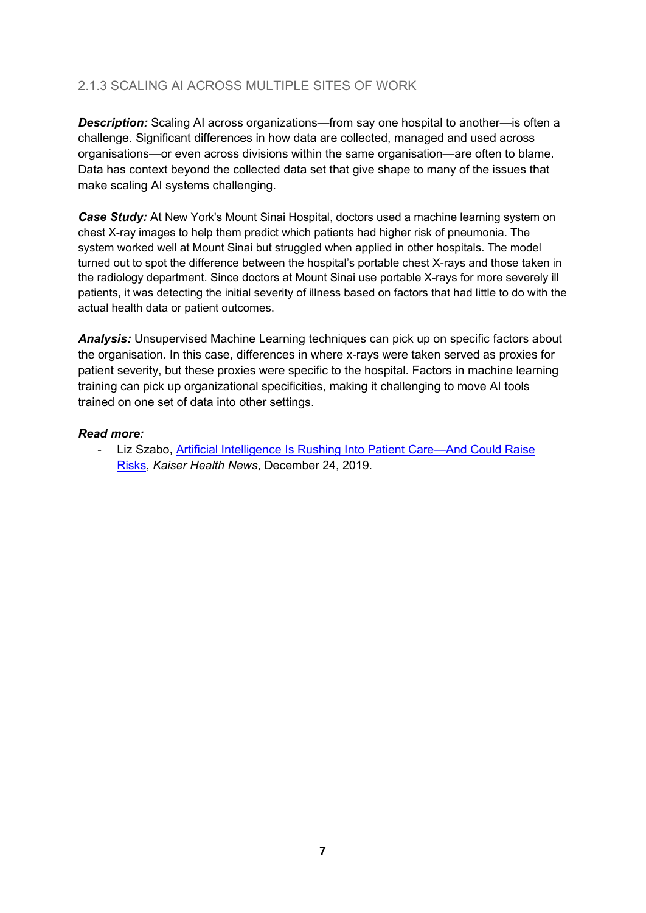### <span id="page-7-0"></span>2.1.3 SCALING AI ACROSS MULTIPLE SITES OF WORK

*Description:* Scaling AI across organizations—from say one hospital to another—is often a challenge. Significant differences in how data are collected, managed and used across organisations—or even across divisions within the same organisation—are often to blame. Data has context beyond the collected data set that give shape to many of the issues that make scaling AI systems challenging.

**Case Study:** At New York's Mount Sinai Hospital, doctors used a machine learning system on chest X-ray images to help them predict which patients had higher risk of pneumonia. The system worked well at Mount Sinai but struggled when applied in other hospitals. The model turned out to spot the difference between the hospital's portable chest X-rays and those taken in the radiology department. Since doctors at Mount Sinai use portable X-rays for more severely ill patients, it was detecting the initial severity of illness based on factors that had little to do with the actual health data or patient outcomes.

*Analysis:* Unsupervised Machine Learning techniques can pick up on specific factors about the organisation. In this case, differences in where x-rays were taken served as proxies for patient severity, but these proxies were specific to the hospital. Factors in machine learning training can pick up organizational specificities, making it challenging to move AI tools trained on one set of data into other settings.

#### *Read more:*

<span id="page-7-1"></span>Liz Szabo, Artificial Intelligence Is Rushing Into Patient Care—And Could Raise [Risks,](https://www.scientificamerican.com/article/artificial-intelligence-is-rushing-into-patient-care-and-could-raise-risks/) *Kaiser Health News*, December 24, 2019.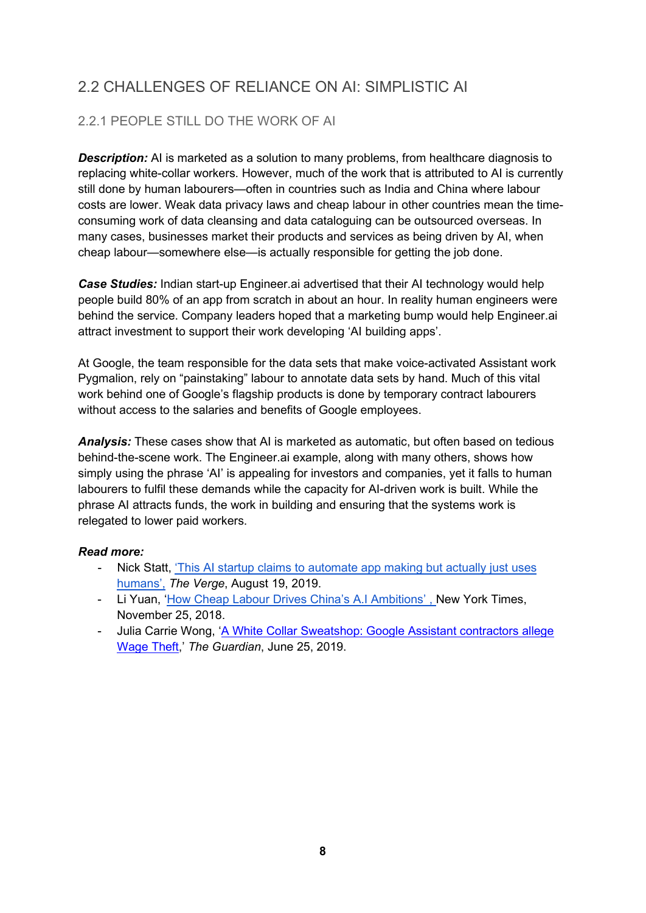## 2.2 CHALLENGES OF RELIANCE ON AI: SIMPLISTIC AI

### <span id="page-8-0"></span>2.2.1 PEOPLE STILL DO THE WORK OF AI

**Description:** AI is marketed as a solution to many problems, from healthcare diagnosis to replacing white-collar workers. However, much of the work that is attributed to AI is currently still done by human labourers—often in countries such as India and China where labour costs are lower. Weak data privacy laws and cheap labour in other countries mean the timeconsuming work of data cleansing and data cataloguing can be outsourced overseas. In many cases, businesses market their products and services as being driven by AI, when cheap labour—somewhere else—is actually responsible for getting the job done.

*Case Studies:* Indian start-up Engineer.ai advertised that their AI technology would help people build 80% of an app from scratch in about an hour. In reality human engineers were behind the service. Company leaders hoped that a marketing bump would help Engineer.ai attract investment to support their work developing 'AI building apps'.

At Google, the team responsible for the data sets that make voice-activated Assistant work Pygmalion, rely on "painstaking" labour to annotate data sets by hand. Much of this vital work behind one of Google's flagship products is done by temporary contract labourers without access to the salaries and benefits of Google employees.

*Analysis:* These cases show that AI is marketed as automatic, but often based on tedious behind-the-scene work. The Engineer.ai example, along with many others, shows how simply using the phrase 'AI' is appealing for investors and companies, yet it falls to human labourers to fulfil these demands while the capacity for AI-driven work is built. While the phrase AI attracts funds, the work in building and ensuring that the systems work is relegated to lower paid workers.

- Nick Statt, ['This AI startup claims to automate app making but actually just uses](https://www.theverge.com/2019/8/14/20805676/engineer-ai-artificial-intelligence-startup-app-development-outsourcing-humans)  [humans',](https://www.theverge.com/2019/8/14/20805676/engineer-ai-artificial-intelligence-startup-app-development-outsourcing-humans) *The Verge*, August 19, 2019.
- Li Yuan, ['How Cheap Labour Drives China's A.I Ambitions'](https://www.nytimes.com/2018/11/25/business/china-artificial-intelligence-labeling.html) , New York Times, November 25, 2018.
- <span id="page-8-1"></span>- Julia Carrie Wong, ['A White Collar Sweatshop: Google Assistant contractors allege](https://www.theguardian.com/technology/2019/may/28/a-white-collar-sweatshop-google-assistant-contractors-allege-wage-theft?CMP=Share_iOSApp_Other)  [Wage Theft,](https://www.theguardian.com/technology/2019/may/28/a-white-collar-sweatshop-google-assistant-contractors-allege-wage-theft?CMP=Share_iOSApp_Other)' *The Guardian*, June 25, 2019.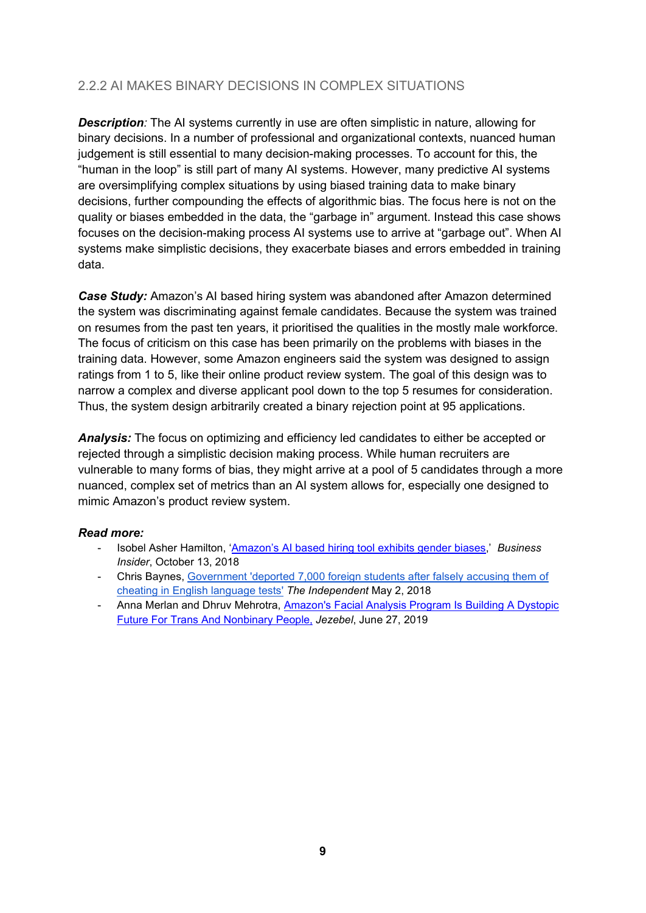### 2.2.2 AI MAKES BINARY DECISIONS IN COMPLEX SITUATIONS

**Description**: The AI systems currently in use are often simplistic in nature, allowing for binary decisions. In a number of professional and organizational contexts, nuanced human judgement is still essential to many decision-making processes. To account for this, the "human in the loop" is still part of many AI systems. However, many predictive AI systems are oversimplifying complex situations by using biased training data to make binary decisions, further compounding the effects of algorithmic bias. The focus here is not on the quality or biases embedded in the data, the "garbage in" argument. Instead this case shows focuses on the decision-making process AI systems use to arrive at "garbage out". When AI systems make simplistic decisions, they exacerbate biases and errors embedded in training data.

*Case Study:* Amazon's AI based hiring system was abandoned after Amazon determined the system was discriminating against female candidates. Because the system was trained on resumes from the past ten years, it prioritised the qualities in the mostly male workforce. The focus of criticism on this case has been primarily on the problems with biases in the training data. However, some Amazon engineers said the system was designed to assign ratings from 1 to 5, like their online product review system. The goal of this design was to narrow a complex and diverse applicant pool down to the top 5 resumes for consideration. Thus, the system design arbitrarily created a binary rejection point at 95 applications.

*Analysis:* The focus on optimizing and efficiency led candidates to either be accepted or rejected through a simplistic decision making process. While human recruiters are vulnerable to many forms of bias, they might arrive at a pool of 5 candidates through a more nuanced, complex set of metrics than an AI system allows for, especially one designed to mimic Amazon's product review system.

- Isobel Asher Hamilton, ['Amazon's AI based hiring tool exhibits gender biases,](https://www.businessinsider.com/amazon-ai-biased-against-women-no-surprise-sandra-wachter-2018-10?r=US&IR=T)' *Business Insider*, October 13, 2018
- Chris Baynes, [Government 'deported 7,000 foreign students after falsely accusing them of](https://www.independent.co.uk/news/uk/politics/home-office-mistakenly-deported-thousands-foreign-students-cheating-language-tests-theresa-may-a8331906.html)  [cheating in English language tests'](https://www.independent.co.uk/news/uk/politics/home-office-mistakenly-deported-thousands-foreign-students-cheating-language-tests-theresa-may-a8331906.html) *The Independent* May 2, 2018
- Anna Merlan and Dhruv Mehrotra, [Amazon's Facial Analysis Program Is Building A Dystopic](https://jezebel.com/amazons-facial-analysis-program-is-building-a-dystopic-1835075450)  [Future For Trans And Nonbinary People,](https://jezebel.com/amazons-facial-analysis-program-is-building-a-dystopic-1835075450) *Jezebel*, June 27, 2019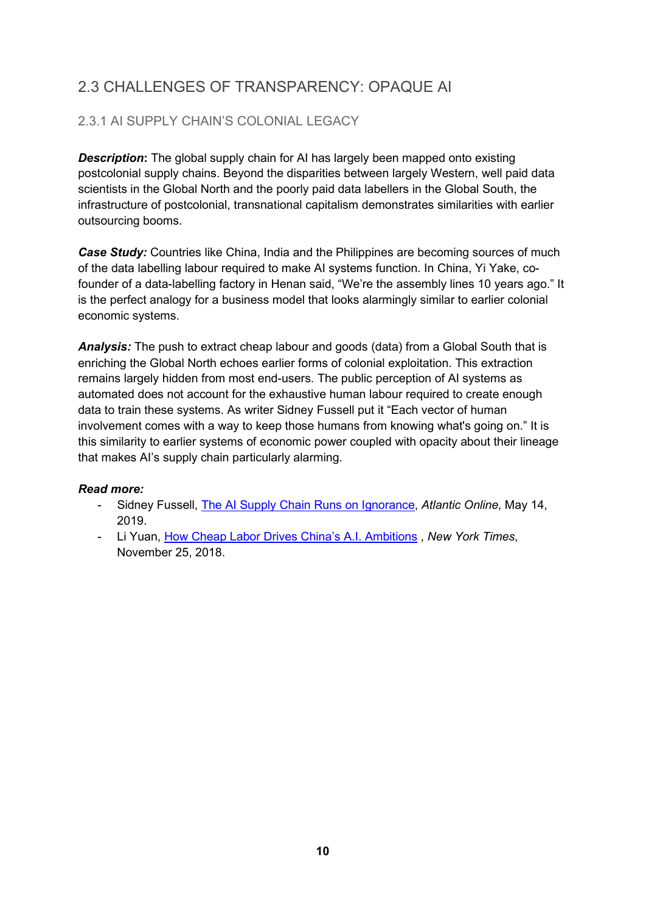## <span id="page-10-0"></span>2.3 CHALLENGES OF TRANSPARENCY: OPAQUE AI

### <span id="page-10-1"></span>2.3.1 AI SUPPLY CHAIN'S COLONIAL LEGACY

**Description:** The global supply chain for AI has largely been mapped onto existing postcolonial supply chains. Beyond the disparities between largely Western, well paid data scientists in the Global North and the poorly paid data labellers in the Global South, the infrastructure of postcolonial, transnational capitalism demonstrates similarities with earlier outsourcing booms.

*Case Study:* Countries like China, India and the Philippines are becoming sources of much of the data labelling labour required to make AI systems function. In China, Yi Yake, cofounder of a data-labelling factory in Henan said, "We're the assembly lines 10 years ago." It is the perfect analogy for a business model that looks alarmingly similar to earlier colonial economic systems.

**Analysis:** The push to extract cheap labour and goods (data) from a Global South that is enriching the Global North echoes earlier forms of colonial exploitation. This extraction remains largely hidden from most end-users. The public perception of AI systems as automated does not account for the exhaustive human labour required to create enough data to train these systems. As writer Sidney Fussell put it "Each vector of human involvement comes with a way to keep those humans from knowing what's going on." It is this similarity to earlier systems of economic power coupled with opacity about their lineage that makes AI's supply chain particularly alarming.

- Sidney Fussell, [The AI Supply Chain Runs on Ignorance,](https://www.theatlantic.com/technology/archive/2019/05/ever-strava-ai-human-ignorance/589306/) *Atlantic Online,* May 14, 2019.
- <span id="page-10-2"></span>- Li Yuan, [How Cheap Labor Drives China's A.I. Ambitions](https://www.nytimes.com/2018/11/25/business/china-artificial-intelligence-labeling.html) , *New York Times*, November 25, 2018.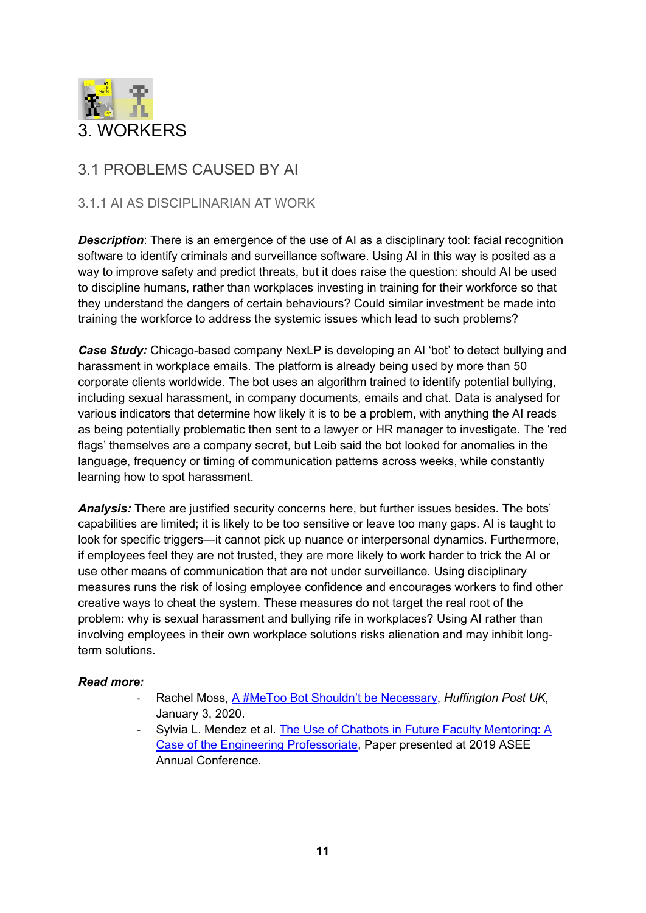

### <span id="page-11-0"></span>3.1 PROBLEMS CAUSED BY AI

#### <span id="page-11-1"></span>3.1.1 AI AS DISCIPLINARIAN AT WORK

**Description**: There is an emergence of the use of AI as a disciplinary tool: facial recognition software to identify criminals and surveillance software. Using AI in this way is posited as a way to improve safety and predict threats, but it does raise the question: should AI be used to discipline humans, rather than workplaces investing in training for their workforce so that they understand the dangers of certain behaviours? Could similar investment be made into training the workforce to address the systemic issues which lead to such problems?

*Case Study:* Chicago-based company NexLP is developing an AI 'bot' to detect bullying and harassment in workplace emails. The platform is already being used by more than 50 corporate clients worldwide. The bot uses an algorithm trained to identify potential bullying, including sexual harassment, in company documents, emails and chat. Data is analysed for various indicators that determine how likely it is to be a problem, with anything the AI reads as being potentially problematic then sent to a lawyer or HR manager to investigate. The 'red flags' themselves are a company secret, but Leib said the bot looked for anomalies in the language, frequency or timing of communication patterns across weeks, while constantly learning how to spot harassment.

*Analysis:* There are justified security concerns here, but further issues besides. The bots' capabilities are limited; it is likely to be too sensitive or leave too many gaps. AI is taught to look for specific triggers—it cannot pick up nuance or interpersonal dynamics. Furthermore, if employees feel they are not trusted, they are more likely to work harder to trick the AI or use other means of communication that are not under surveillance. Using disciplinary measures runs the risk of losing employee confidence and encourages workers to find other creative ways to cheat the system. These measures do not target the real root of the problem: why is sexual harassment and bullying rife in workplaces? Using AI rather than involving employees in their own workplace solutions risks alienation and may inhibit longterm solutions.

- Rachel Moss, [A #MeToo Bot Shouldn't be Necessary,](https://www.huffingtonpost.co.uk/entry/a-metoobot-has-been-designed-to-detect-sexual-harassment-in-emails-but-is-it-really-the-solution_uk_5e0f0bf4c5b6b5a713b89b7a) *Huffington Post UK*, January 3, 2020.
- <span id="page-11-2"></span>Sylvia L. Mendez et al. The Use of Chatbots in Future Faculty Mentoring: A [Case of the Engineering Professoriate,](https://peer.asee.org/33434) Paper presented at 2019 ASEE Annual Conference.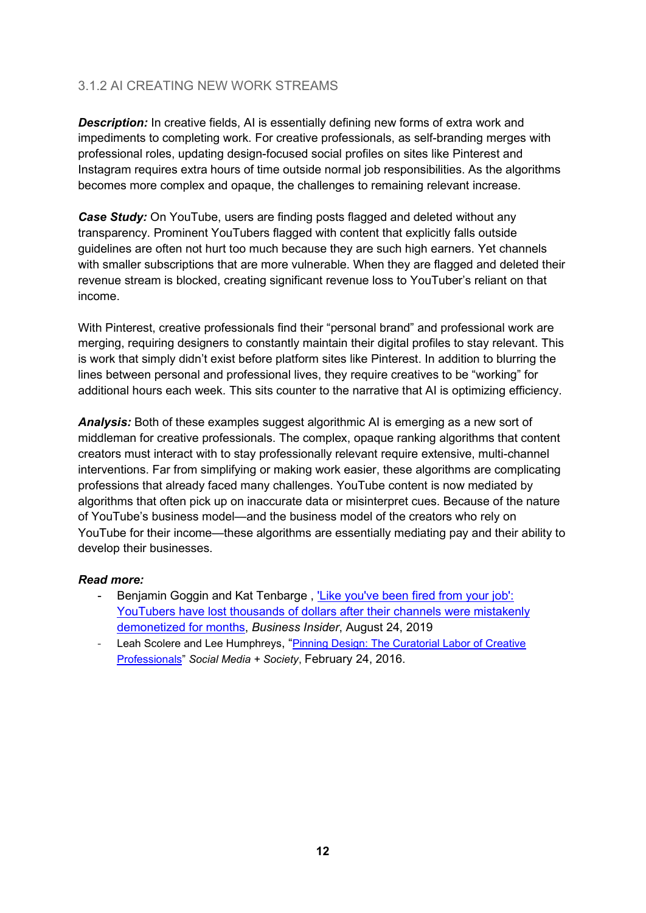### 3.1.2 AI CREATING NEW WORK STREAMS

**Description:** In creative fields, AI is essentially defining new forms of extra work and impediments to completing work. For creative professionals, as self-branding merges with professional roles, updating design-focused social profiles on sites like Pinterest and Instagram requires extra hours of time outside normal job responsibilities. As the algorithms becomes more complex and opaque, the challenges to remaining relevant increase.

*Case Study:* On YouTube, users are finding posts flagged and deleted without any transparency. Prominent YouTubers flagged with content that explicitly falls outside guidelines are often not hurt too much because they are such high earners. Yet channels with smaller subscriptions that are more vulnerable. When they are flagged and deleted their revenue stream is blocked, creating significant revenue loss to YouTuber's reliant on that income.

With Pinterest, creative professionals find their "personal brand" and professional work are merging, requiring designers to constantly maintain their digital profiles to stay relevant. This is work that simply didn't exist before platform sites like Pinterest. In addition to blurring the lines between personal and professional lives, they require creatives to be "working" for additional hours each week. This sits counter to the narrative that AI is optimizing efficiency.

*Analysis:* Both of these examples suggest algorithmic AI is emerging as a new sort of middleman for creative professionals. The complex, opaque ranking algorithms that content creators must interact with to stay professionally relevant require extensive, multi-channel interventions. Far from simplifying or making work easier, these algorithms are complicating professions that already faced many challenges. YouTube content is now mediated by algorithms that often pick up on inaccurate data or misinterpret cues. Because of the nature of YouTube's business model—and the business model of the creators who rely on YouTube for their income—these algorithms are essentially mediating pay and their ability to develop their businesses.

- Benjamin Goggin and Kat Tenbarge, 'Like you've been fired from your job': [YouTubers have lost thousands of dollars after their channels were mistakenly](https://www.businessinsider.com/youtubers-entire-channels-can-get-mistakenly-demonetized-for-months-2019-8?r=US&IR=T)  [demonetized for months,](https://www.businessinsider.com/youtubers-entire-channels-can-get-mistakenly-demonetized-for-months-2019-8?r=US&IR=T) *Business Insider*, August 24, 2019
- Leah Scolere and Lee Humphreys, "Pinning Design: The Curatorial Labor of Creative [Professionals"](https://journals.sagepub.com/doi/full/10.1177/2056305116633481) *Social Media + Society*, February 24, 2016.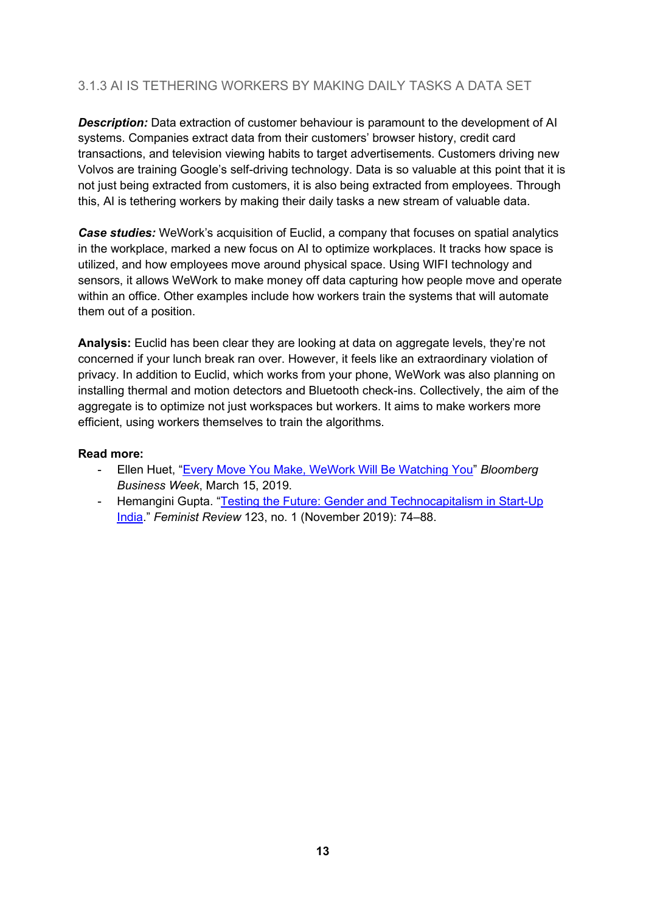### <span id="page-13-0"></span>3.1.3 AI IS TETHERING WORKERS BY MAKING DAILY TASKS A DATA SET

**Description:** Data extraction of customer behaviour is paramount to the development of AI systems. Companies extract data from their customers' browser history, credit card transactions, and television viewing habits to target advertisements. Customers driving new Volvos are training Google's self-driving technology. Data is so valuable at this point that it is not just being extracted from customers, it is also being extracted from employees. Through this, AI is tethering workers by making their daily tasks a new stream of valuable data.

*Case studies:* WeWork's acquisition of Euclid, a company that focuses on spatial analytics in the workplace, marked a new focus on AI to optimize workplaces. It tracks how space is utilized, and how employees move around physical space. Using WIFI technology and sensors, it allows WeWork to make money off data capturing how people move and operate within an office. Other examples include how workers train the systems that will automate them out of a position.

**Analysis:** Euclid has been clear they are looking at data on aggregate levels, they're not concerned if your lunch break ran over. However, it feels like an extraordinary violation of privacy. In addition to Euclid, which works from your phone, WeWork was also planning on installing thermal and motion detectors and Bluetooth check-ins. Collectively, the aim of the aggregate is to optimize not just workspaces but workers. It aims to make workers more efficient, using workers themselves to train the algorithms.

- Ellen Huet, ["Every Move You Make, WeWork Will Be Watching You"](https://www.bloomberg.com/news/articles/2019-03-15/every-move-you-make-wework-will-be-watching-you) *Bloomberg Business Week*, March 15, 2019.
- <span id="page-13-1"></span>- Hemangini Gupta. ["Testing the Future: Gender and Technocapitalism in Start-Up](https://doi.org/10.1177/0141778919879740)  [India.](https://doi.org/10.1177/0141778919879740)" *Feminist Review* 123, no. 1 (November 2019): 74–88.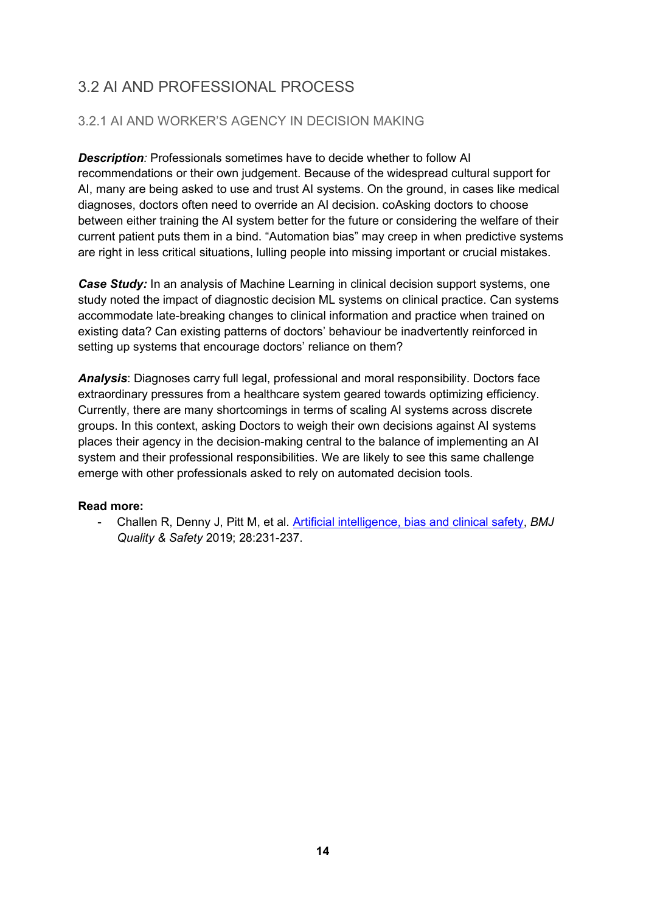## 3.2 AI AND PROFESSIONAL PROCESS

### <span id="page-14-0"></span>3.2.1 AI AND WORKER'S AGENCY IN DECISION MAKING

*Description:* Professionals sometimes have to decide whether to follow AI recommendations or their own judgement. Because of the widespread cultural support for AI, many are being asked to use and trust AI systems. On the ground, in cases like medical diagnoses, doctors often need to override an AI decision. coAsking doctors to choose between either training the AI system better for the future or considering the welfare of their current patient puts them in a bind. "Automation bias" may creep in when predictive systems are right in less critical situations, lulling people into missing important or crucial mistakes.

*Case Study:* In an analysis of Machine Learning in clinical decision support systems, one study noted the impact of diagnostic decision ML systems on clinical practice. Can systems accommodate late-breaking changes to clinical information and practice when trained on existing data? Can existing patterns of doctors' behaviour be inadvertently reinforced in setting up systems that encourage doctors' reliance on them?

*Analysis*: Diagnoses carry full legal, professional and moral responsibility. Doctors face extraordinary pressures from a healthcare system geared towards optimizing efficiency. Currently, there are many shortcomings in terms of scaling AI systems across discrete groups. In this context, asking Doctors to weigh their own decisions against AI systems places their agency in the decision-making central to the balance of implementing an AI system and their professional responsibilities. We are likely to see this same challenge emerge with other professionals asked to rely on automated decision tools.

#### **Read more:**

<span id="page-14-1"></span>- Challen R, Denny J, Pitt M, et al. [Artificial intelligence, bias and clinical safety,](https://qualitysafety.bmj.com/content/28/3/231) *BMJ Quality & Safety* 2019; 28:231-237.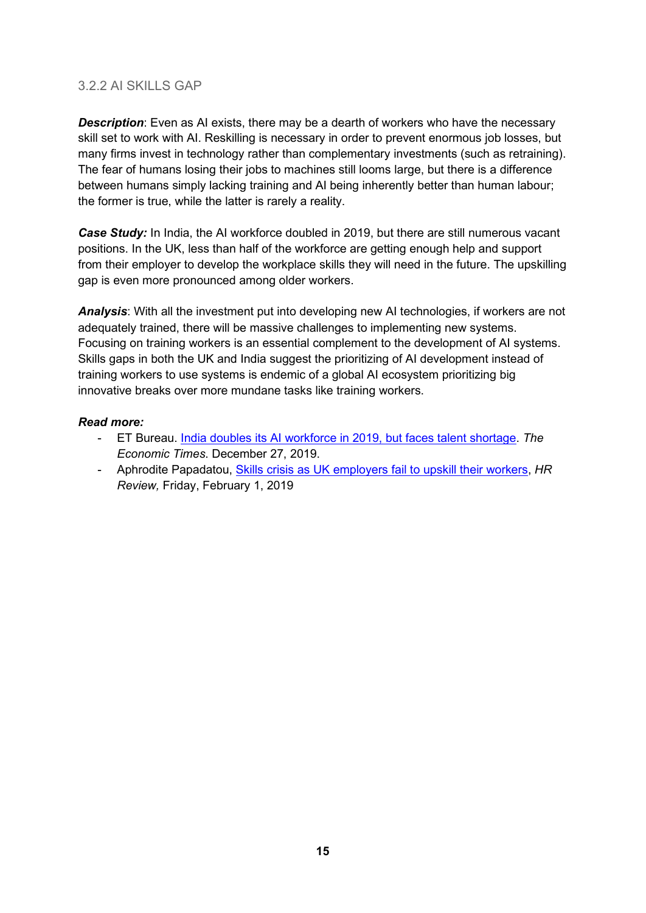#### 3.2.2 AI SKILLS GAP

**Description**: Even as AI exists, there may be a dearth of workers who have the necessary skill set to work with AI. Reskilling is necessary in order to prevent enormous job losses, but many firms invest in technology rather than complementary investments (such as retraining). The fear of humans losing their jobs to machines still looms large, but there is a difference between humans simply lacking training and AI being inherently better than human labour; the former is true, while the latter is rarely a reality.

*Case Study:* In India, the AI workforce doubled in 2019, but there are still numerous vacant positions. In the UK, less than half of the workforce are getting enough help and support from their employer to develop the workplace skills they will need in the future. The upskilling gap is even more pronounced among older workers.

*Analysis*: With all the investment put into developing new AI technologies, if workers are not adequately trained, there will be massive challenges to implementing new systems. Focusing on training workers is an essential complement to the development of AI systems. Skills gaps in both the UK and India suggest the prioritizing of AI development instead of training workers to use systems is endemic of a global AI ecosystem prioritizing big innovative breaks over more mundane tasks like training workers.

- ET Bureau. [India doubles its AI workforce in 2019, but faces talent shortage.](https://economictimes.indiatimes.com/tech/ites/india-doubles-its-ai-workforce-in-2019-but-faces-talent-shortage-great-learning/articleshow/72997071.cms?from=mdr) *The Economic Times*. December 27, 2019.
- Aphrodite Papadatou, [Skills crisis as UK employers fail to upskill their workers,](https://www.hrreview.co.uk/hr-news/114613/114613) *HR Review,* Friday, February 1, 2019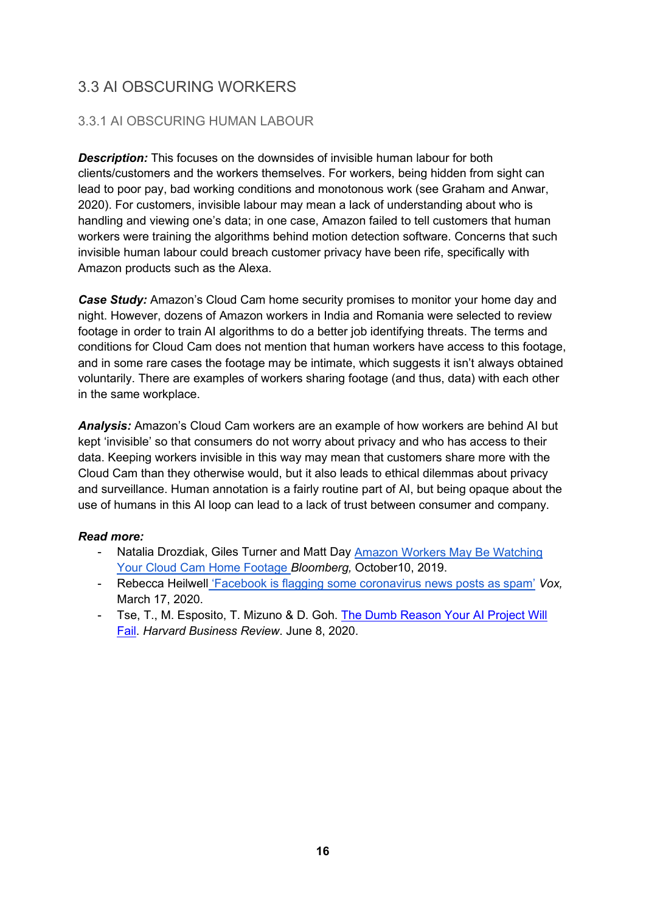## <span id="page-16-0"></span>3.3 AI OBSCURING WORKERS

### <span id="page-16-1"></span>3.3.1 AI OBSCURING HUMAN LABOUR

*Description:* This focuses on the downsides of invisible human labour for both clients/customers and the workers themselves. For workers, being hidden from sight can lead to poor pay, bad working conditions and monotonous work (see Graham and Anwar, 2020). For customers, invisible labour may mean a lack of understanding about who is handling and viewing one's data; in one case, Amazon failed to tell customers that human workers were training the algorithms behind motion detection software. Concerns that such invisible human labour could breach customer privacy have been rife, specifically with Amazon products such as the Alexa.

*Case Study:* Amazon's Cloud Cam home security promises to monitor your home day and night. However, dozens of Amazon workers in India and Romania were selected to review footage in order to train AI algorithms to do a better job identifying threats. The terms and conditions for Cloud Cam does not mention that human workers have access to this footage, and in some rare cases the footage may be intimate, which suggests it isn't always obtained voluntarily. There are examples of workers sharing footage (and thus, data) with each other in the same workplace.

*Analysis:* Amazon's Cloud Cam workers are an example of how workers are behind AI but kept 'invisible' so that consumers do not worry about privacy and who has access to their data. Keeping workers invisible in this way may mean that customers share more with the Cloud Cam than they otherwise would, but it also leads to ethical dilemmas about privacy and surveillance. Human annotation is a fairly routine part of AI, but being opaque about the use of humans in this AI loop can lead to a lack of trust between consumer and company.

- Natalia Drozdiak, Giles Turner and Matt Day Amazon Workers May Be Watching [Your Cloud Cam Home Footage](https://www.bloomberg.com/news/articles/2019-10-10/is-amazon-watching-you-cloud-cam-footage-reviewed-by-humans) *Bloomberg,* October10, 2019.
- Rebecca Heilwell ['Facebook is flagging some coronavirus news posts as spam'](https://www.vox.com/recode/2020/3/17/21183557/coronavirus-youtube-facebook-twitter-social-media) *Vox,*  March 17, 2020.
- <span id="page-16-2"></span>- Tse, T., M. Esposito, T. Mizuno & D. Goh. [The Dumb Reason Your AI Project Will](https://hbr.org/2020/06/the-dumb-reason-your-ai-project-will-fail)  [Fail.](https://hbr.org/2020/06/the-dumb-reason-your-ai-project-will-fail) *Harvard Business Review*. June 8, 2020.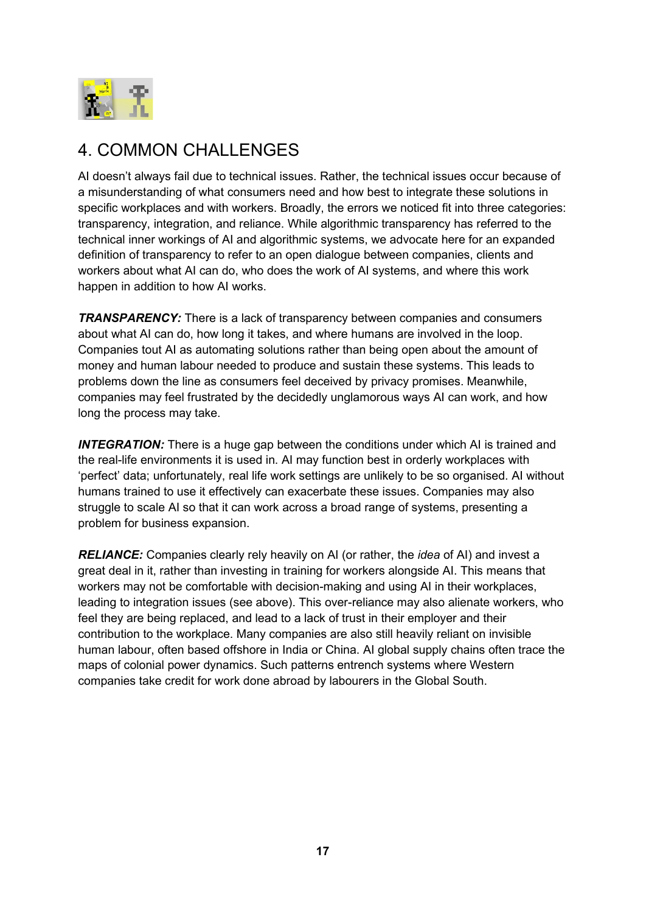

## 4. COMMON CHALLENGES

AI doesn't always fail due to technical issues. Rather, the technical issues occur because of a misunderstanding of what consumers need and how best to integrate these solutions in specific workplaces and with workers. Broadly, the errors we noticed fit into three categories: transparency, integration, and reliance. While algorithmic transparency has referred to the technical inner workings of AI and algorithmic systems, we advocate here for an expanded definition of transparency to refer to an open dialogue between companies, clients and workers about what AI can do, who does the work of AI systems, and where this work happen in addition to how AI works.

*TRANSPARENCY:* There is a lack of transparency between companies and consumers about what AI can do, how long it takes, and where humans are involved in the loop. Companies tout AI as automating solutions rather than being open about the amount of money and human labour needed to produce and sustain these systems. This leads to problems down the line as consumers feel deceived by privacy promises. Meanwhile, companies may feel frustrated by the decidedly unglamorous ways AI can work, and how long the process may take.

**INTEGRATION:** There is a huge gap between the conditions under which AI is trained and the real-life environments it is used in. AI may function best in orderly workplaces with 'perfect' data; unfortunately, real life work settings are unlikely to be so organised. AI without humans trained to use it effectively can exacerbate these issues. Companies may also struggle to scale AI so that it can work across a broad range of systems, presenting a problem for business expansion.

<span id="page-17-0"></span>*RELIANCE:* Companies clearly rely heavily on AI (or rather, the *idea* of AI) and invest a great deal in it, rather than investing in training for workers alongside AI. This means that workers may not be comfortable with decision-making and using AI in their workplaces, leading to integration issues (see above). This over-reliance may also alienate workers, who feel they are being replaced, and lead to a lack of trust in their employer and their contribution to the workplace. Many companies are also still heavily reliant on invisible human labour, often based offshore in India or China. AI global supply chains often trace the maps of colonial power dynamics. Such patterns entrench systems where Western companies take credit for work done abroad by labourers in the Global South.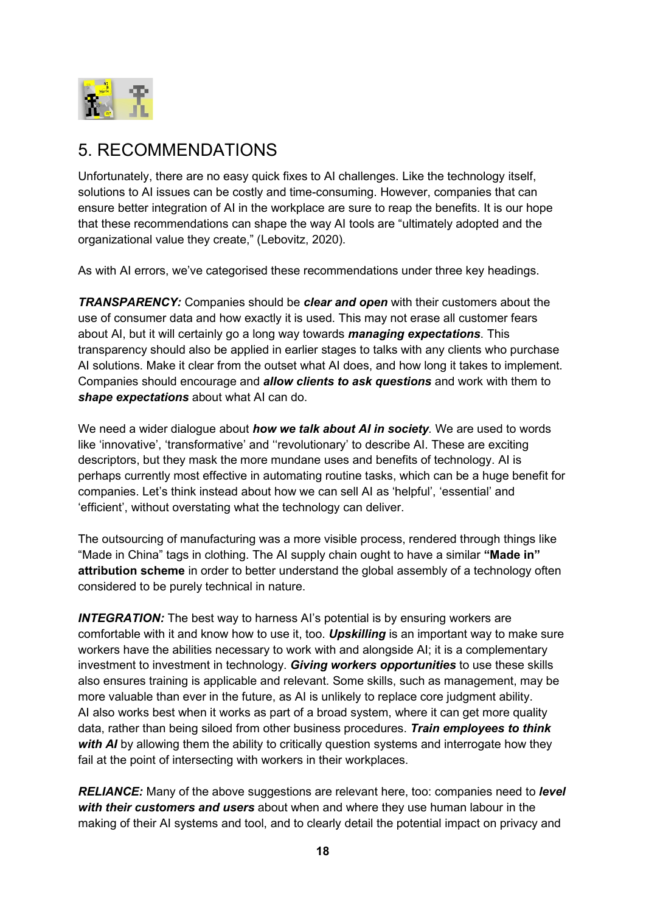

## 5. RECOMMENDATIONS

Unfortunately, there are no easy quick fixes to AI challenges. Like the technology itself, solutions to AI issues can be costly and time-consuming. However, companies that can ensure better integration of AI in the workplace are sure to reap the benefits. It is our hope that these recommendations can shape the way AI tools are "ultimately adopted and the organizational value they create," (Lebovitz, 2020).

As with AI errors, we've categorised these recommendations under three key headings.

*TRANSPARENCY:* Companies should be *clear and open* with their customers about the use of consumer data and how exactly it is used. This may not erase all customer fears about AI, but it will certainly go a long way towards *managing expectations*. This transparency should also be applied in earlier stages to talks with any clients who purchase AI solutions. Make it clear from the outset what AI does, and how long it takes to implement. Companies should encourage and *allow clients to ask questions* and work with them to *shape expectations* about what AI can do.

We need a wider dialogue about *how we talk about AI in society.* We are used to words like 'innovative', 'transformative' and ''revolutionary' to describe AI. These are exciting descriptors, but they mask the more mundane uses and benefits of technology. AI is perhaps currently most effective in automating routine tasks, which can be a huge benefit for companies. Let's think instead about how we can sell AI as 'helpful', 'essential' and 'efficient', without overstating what the technology can deliver.

The outsourcing of manufacturing was a more visible process, rendered through things like "Made in China" tags in clothing. The AI supply chain ought to have a similar **"Made in" attribution scheme** in order to better understand the global assembly of a technology often considered to be purely technical in nature.

**INTEGRATION:** The best way to harness AI's potential is by ensuring workers are comfortable with it and know how to use it, too. *Upskilling* is an important way to make sure workers have the abilities necessary to work with and alongside AI; it is a complementary investment to investment in technology. *Giving workers opportunities* to use these skills also ensures training is applicable and relevant. Some skills, such as management, may be more valuable than ever in the future, as AI is unlikely to replace core judgment ability. AI also works best when it works as part of a broad system, where it can get more quality data, rather than being siloed from other business procedures. *Train employees to think with AI* by allowing them the ability to critically question systems and interrogate how they fail at the point of intersecting with workers in their workplaces.

*RELIANCE:* Many of the above suggestions are relevant here, too: companies need to *level with their customers and users* about when and where they use human labour in the making of their AI systems and tool, and to clearly detail the potential impact on privacy and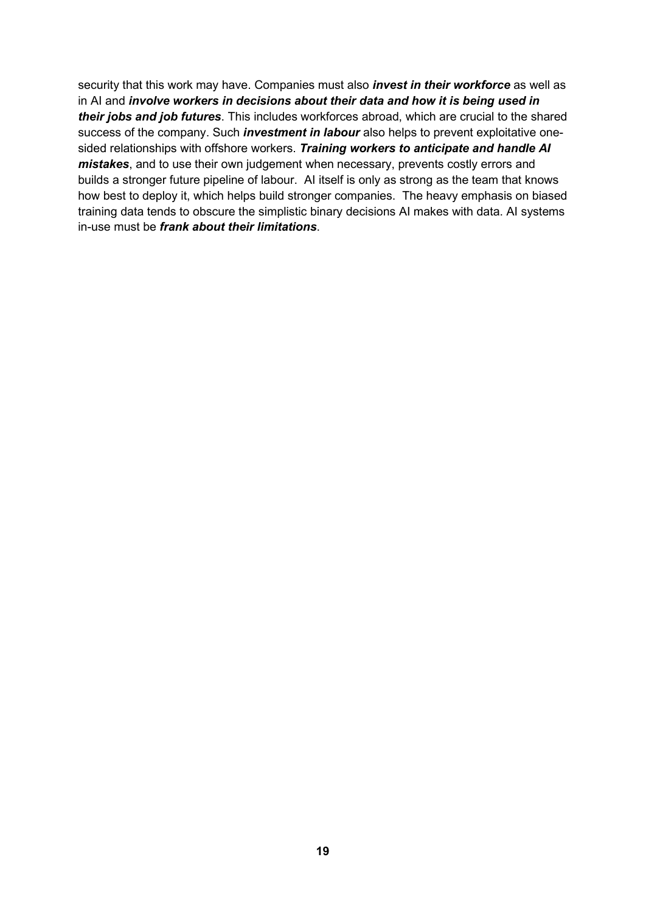<span id="page-19-0"></span>security that this work may have. Companies must also *invest in their workforce* as well as in AI and *involve workers in decisions about their data and how it is being used in their jobs and job futures*. This includes workforces abroad, which are crucial to the shared success of the company. Such *investment in labour* also helps to prevent exploitative onesided relationships with offshore workers. *Training workers to anticipate and handle AI mistakes*, and to use their own judgement when necessary, prevents costly errors and builds a stronger future pipeline of labour. AI itself is only as strong as the team that knows how best to deploy it, which helps build stronger companies. The heavy emphasis on biased training data tends to obscure the simplistic binary decisions AI makes with data. AI systems in-use must be *frank about their limitations*.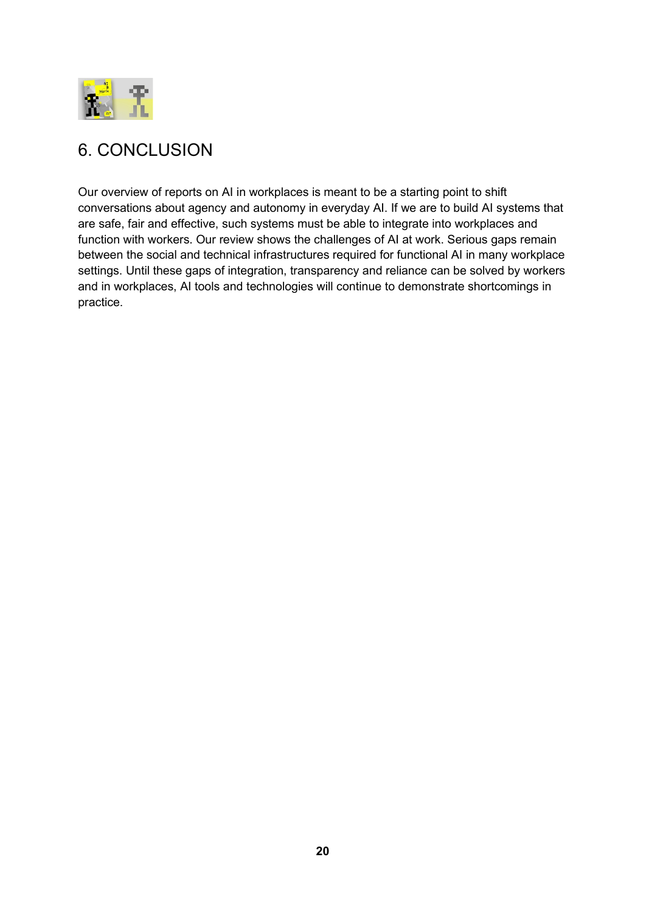

## 6. CONCLUSION

Our overview of reports on AI in workplaces is meant to be a starting point to shift conversations about agency and autonomy in everyday AI. If we are to build AI systems that are safe, fair and effective, such systems must be able to integrate into workplaces and function with workers. Our review shows the challenges of AI at work. Serious gaps remain between the social and technical infrastructures required for functional AI in many workplace settings. Until these gaps of integration, transparency and reliance can be solved by workers and in workplaces, AI tools and technologies will continue to demonstrate shortcomings in practice.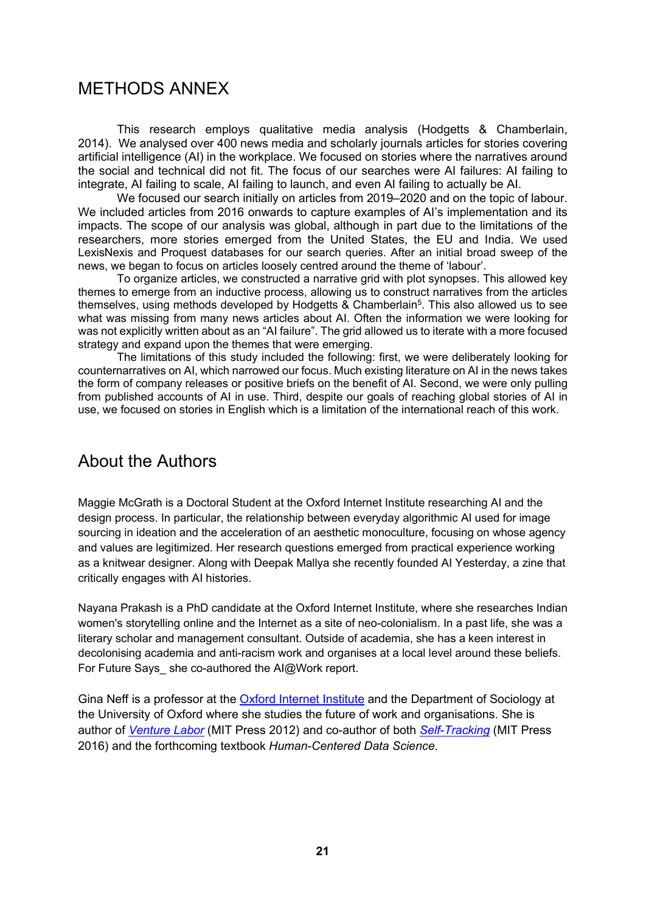### <span id="page-21-0"></span>METHODS ANNEX

This research employs qualitative media analysis (Hodgetts & Chamberlain, 2014). We analysed over 400 news media and scholarly journals articles for stories covering artificial intelligence (AI) in the workplace. We focused on stories where the narratives around the social and technical did not fit. The focus of our searches were AI failures: AI failing to integrate, AI failing to scale, AI failing to launch, and even AI failing to actually be AI.

We focused our search initially on articles from 2019–2020 and on the topic of labour. We included articles from 2016 onwards to capture examples of AI's implementation and its impacts. The scope of our analysis was global, although in part due to the limitations of the researchers, more stories emerged from the United States, the EU and India. We used LexisNexis and Proquest databases for our search queries. After an initial broad sweep of the news, we began to focus on articles loosely centred around the theme of 'labour'.

To organize articles, we constructed a narrative grid with plot synopses. This allowed key themes to emerge from an inductive process, allowing us to construct narratives from the articles themselves, using methods developed by Hodgetts & Chamberlain<sup>5</sup>. This also allowed us to see what was missing from many news articles about AI. Often the information we were looking for was not explicitly written about as an "AI failure". The grid allowed us to iterate with a more focused strategy and expand upon the themes that were emerging.

The limitations of this study included the following: first, we were deliberately looking for counternarratives on AI, which narrowed our focus. Much existing literature on AI in the news takes the form of company releases or positive briefs on the benefit of AI. Second, we were only pulling from published accounts of AI in use. Third, despite our goals of reaching global stories of AI in use, we focused on stories in English which is a limitation of the international reach of this work.

## <span id="page-21-1"></span>About the Authors

Maggie McGrath is a Doctoral Student at the Oxford Internet Institute researching AI and the design process. In particular, the relationship between everyday algorithmic AI used for image sourcing in ideation and the acceleration of an aesthetic monoculture, focusing on whose agency and values are legitimized. Her research questions emerged from practical experience working as a knitwear designer. Along with Deepak Mallya she recently founded AI Yesterday, a zine that critically engages with AI histories.

Nayana Prakash is a PhD candidate at the Oxford Internet Institute, where she researches Indian women's storytelling online and the Internet as a site of neo-colonialism. In a past life, she was a literary scholar and management consultant. Outside of academia, she has a keen interest in decolonising academia and anti-racism work and organises at a local level around these beliefs. For Future Says she co-authored the AI@Work report.

Gina Neff is a professor at the [Oxford Internet Institute](https://www.oii.ox.ac.uk/people/gina-neff) and the Department of Sociology at the University of Oxford where she studies the future of work and organisations. She is author of *[Venture Labor](https://mitpress.mit.edu/books/venture-labor)* (MIT Press 2012) and co-author of both *[Self-Tracking](https://mitpress.mit.edu/books/self-tracking)* (MIT Press 2016) and the forthcoming textbook *Human-Centered Data Science*.